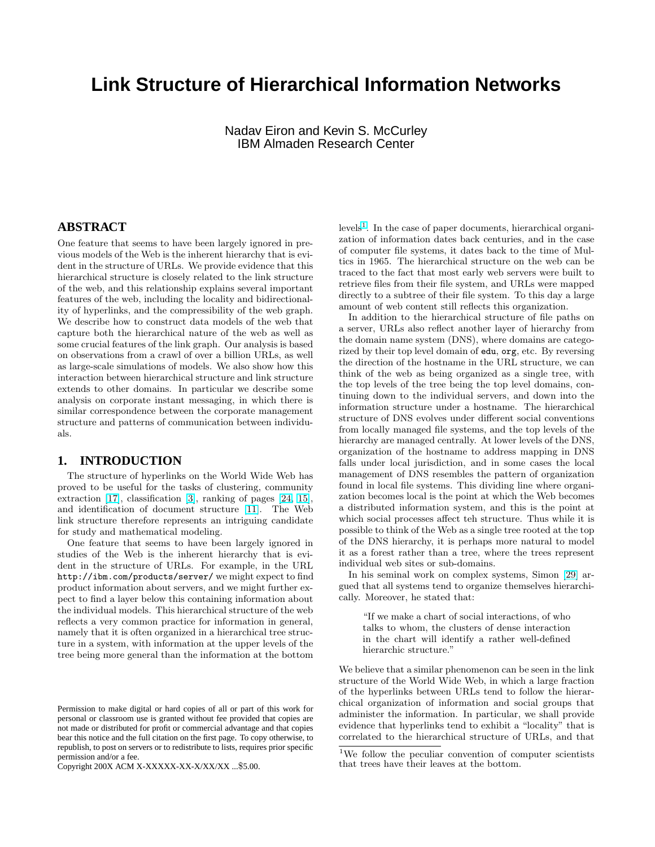# **Link Structure of Hierarchical Information Networks**

Nadav Eiron and Kevin S. McCurley IBM Almaden Research Center

# **ABSTRACT**

One feature that seems to have been largely ignored in previous models of the Web is the inherent hierarchy that is evident in the structure of URLs. We provide evidence that this hierarchical structure is closely related to the link structure of the web, and this relationship explains several important features of the web, including the locality and bidirectionality of hyperlinks, and the compressibility of the web graph. We describe how to construct data models of the web that capture both the hierarchical nature of the web as well as some crucial features of the link graph. Our analysis is based on observations from a crawl of over a billion URLs, as well as large-scale simulations of models. We also show how this interaction between hierarchical structure and link structure extends to other domains. In particular we describe some analysis on corporate instant messaging, in which there is similar correspondence between the corporate management structure and patterns of communication between individuals.

## **1. INTRODUCTION**

The structure of hyperlinks on the World Wide Web has proved to be useful for the tasks of clustering, community extraction [\[17\]](#page-9-0), classification [\[3\]](#page-9-0), ranking of pages [\[24,](#page-9-0) [15\]](#page-9-0), and identification of document structure [\[11\]](#page-9-0). The Web link structure therefore represents an intriguing candidate for study and mathematical modeling.

One feature that seems to have been largely ignored in studies of the Web is the inherent hierarchy that is evident in the structure of URLs. For example, in the URL http://ibm.com/products/server/ we might expect to find product information about servers, and we might further expect to find a layer below this containing information about the individual models. This hierarchical structure of the web reflects a very common practice for information in general, namely that it is often organized in a hierarchical tree structure in a system, with information at the upper levels of the tree being more general than the information at the bottom

Copyright 200X ACM X-XXXXX-XX-X/XX/XX ...\$5.00.

 $levels<sup>1</sup>$ . In the case of paper documents, hierarchical organization of information dates back centuries, and in the case of computer file systems, it dates back to the time of Multics in 1965. The hierarchical structure on the web can be traced to the fact that most early web servers were built to retrieve files from their file system, and URLs were mapped directly to a subtree of their file system. To this day a large amount of web content still reflects this organization.

In addition to the hierarchical structure of file paths on a server, URLs also reflect another layer of hierarchy from the domain name system (DNS), where domains are categorized by their top level domain of edu, org, etc. By reversing the direction of the hostname in the URL structure, we can think of the web as being organized as a single tree, with the top levels of the tree being the top level domains, continuing down to the individual servers, and down into the information structure under a hostname. The hierarchical structure of DNS evolves under different social conventions from locally managed file systems, and the top levels of the hierarchy are managed centrally. At lower levels of the DNS, organization of the hostname to address mapping in DNS falls under local jurisdiction, and in some cases the local management of DNS resembles the pattern of organization found in local file systems. This dividing line where organization becomes local is the point at which the Web becomes a distributed information system, and this is the point at which social processes affect teh structure. Thus while it is possible to think of the Web as a single tree rooted at the top of the DNS hierarchy, it is perhaps more natural to model it as a forest rather than a tree, where the trees represent individual web sites or sub-domains.

In his seminal work on complex systems, Simon [\[29\]](#page-9-0) argued that all systems tend to organize themselves hierarchically. Moreover, he stated that:

"If we make a chart of social interactions, of who talks to whom, the clusters of dense interaction in the chart will identify a rather well-defined hierarchic structure."

We believe that a similar phenomenon can be seen in the link structure of the World Wide Web, in which a large fraction of the hyperlinks between URLs tend to follow the hierarchical organization of information and social groups that administer the information. In particular, we shall provide evidence that hyperlinks tend to exhibit a "locality" that is correlated to the hierarchical structure of URLs, and that

Permission to make digital or hard copies of all or part of this work for personal or classroom use is granted without fee provided that copies are not made or distributed for profit or commercial advantage and that copies bear this notice and the full citation on the first page. To copy otherwise, to republish, to post on servers or to redistribute to lists, requires prior specific permission and/or a fee.

<sup>&</sup>lt;sup>1</sup>We follow the peculiar convention of computer scientists that trees have their leaves at the bottom.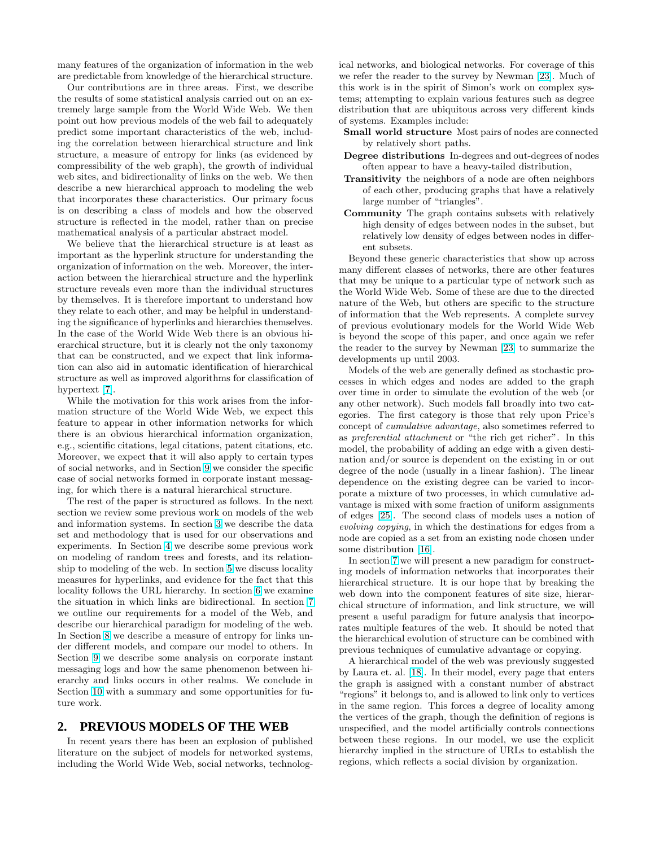many features of the organization of information in the web are predictable from knowledge of the hierarchical structure.

Our contributions are in three areas. First, we describe the results of some statistical analysis carried out on an extremely large sample from the World Wide Web. We then point out how previous models of the web fail to adequately predict some important characteristics of the web, including the correlation between hierarchical structure and link structure, a measure of entropy for links (as evidenced by compressibility of the web graph), the growth of individual web sites, and bidirectionality of links on the web. We then describe a new hierarchical approach to modeling the web that incorporates these characteristics. Our primary focus is on describing a class of models and how the observed structure is reflected in the model, rather than on precise mathematical analysis of a particular abstract model.

We believe that the hierarchical structure is at least as important as the hyperlink structure for understanding the organization of information on the web. Moreover, the interaction between the hierarchical structure and the hyperlink structure reveals even more than the individual structures by themselves. It is therefore important to understand how they relate to each other, and may be helpful in understanding the significance of hyperlinks and hierarchies themselves. In the case of the World Wide Web there is an obvious hierarchical structure, but it is clearly not the only taxonomy that can be constructed, and we expect that link information can also aid in automatic identification of hierarchical structure as well as improved algorithms for classification of hypertext [\[7\]](#page-9-0).

While the motivation for this work arises from the information structure of the World Wide Web, we expect this feature to appear in other information networks for which there is an obvious hierarchical information organization, e.g., scientific citations, legal citations, patent citations, etc. Moreover, we expect that it will also apply to certain types of social networks, and in Section [9](#page-8-0) we consider the specific case of social networks formed in corporate instant messaging, for which there is a natural hierarchical structure.

The rest of the paper is structured as follows. In the next section we review some previous work on models of the web and information systems. In section [3](#page-2-0) we describe the data set and methodology that is used for our observations and experiments. In Section [4](#page-2-0) we describe some previous work on modeling of random trees and forests, and its relationship to modeling of the web. In section [5](#page-4-0) we discuss locality measures for hyperlinks, and evidence for the fact that this locality follows the URL hierarchy. In section [6](#page-5-0) we examine the situation in which links are bidirectional. In section [7](#page-5-0) we outline our requirements for a model of the Web, and describe our hierarchical paradigm for modeling of the web. In Section [8](#page-6-0) we describe a measure of entropy for links under different models, and compare our model to others. In Section [9](#page-8-0) we describe some analysis on corporate instant messaging logs and how the same phenomenon between hierarchy and links occurs in other realms. We conclude in Section [10](#page-8-0) with a summary and some opportunities for future work.

### **2. PREVIOUS MODELS OF THE WEB**

In recent years there has been an explosion of published literature on the subject of models for networked systems, including the World Wide Web, social networks, technological networks, and biological networks. For coverage of this we refer the reader to the survey by Newman [\[23\]](#page-9-0). Much of this work is in the spirit of Simon's work on complex systems; attempting to explain various features such as degree distribution that are ubiquitous across very different kinds of systems. Examples include:

- Small world structure Most pairs of nodes are connected by relatively short paths.
- Degree distributions In-degrees and out-degrees of nodes often appear to have a heavy-tailed distribution,
- Transitivity the neighbors of a node are often neighbors of each other, producing graphs that have a relatively large number of "triangles".
- Community The graph contains subsets with relatively high density of edges between nodes in the subset, but relatively low density of edges between nodes in different subsets.

Beyond these generic characteristics that show up across many different classes of networks, there are other features that may be unique to a particular type of network such as the World Wide Web. Some of these are due to the directed nature of the Web, but others are specific to the structure of information that the Web represents. A complete survey of previous evolutionary models for the World Wide Web is beyond the scope of this paper, and once again we refer the reader to the survey by Newman [\[23\]](#page-9-0) to summarize the developments up until 2003.

Models of the web are generally defined as stochastic processes in which edges and nodes are added to the graph over time in order to simulate the evolution of the web (or any other network). Such models fall broadly into two categories. The first category is those that rely upon Price's concept of cumulative advantage, also sometimes referred to as preferential attachment or "the rich get richer". In this model, the probability of adding an edge with a given destination and/or source is dependent on the existing in or out degree of the node (usually in a linear fashion). The linear dependence on the existing degree can be varied to incorporate a mixture of two processes, in which cumulative advantage is mixed with some fraction of uniform assignments of edges [\[25\]](#page-9-0). The second class of models uses a notion of evolving copying, in which the destinations for edges from a node are copied as a set from an existing node chosen under some distribution [\[16\]](#page-9-0).

In section [7](#page-5-0) we will present a new paradigm for constructing models of information networks that incorporates their hierarchical structure. It is our hope that by breaking the web down into the component features of site size, hierarchical structure of information, and link structure, we will present a useful paradigm for future analysis that incorporates multiple features of the web. It should be noted that the hierarchical evolution of structure can be combined with previous techniques of cumulative advantage or copying.

A hierarchical model of the web was previously suggested by Laura et. al. [\[18\]](#page-9-0). In their model, every page that enters the graph is assigned with a constant number of abstract "regions" it belongs to, and is allowed to link only to vertices in the same region. This forces a degree of locality among the vertices of the graph, though the definition of regions is unspecified, and the model artificially controls connections between these regions. In our model, we use the explicit hierarchy implied in the structure of URLs to establish the regions, which reflects a social division by organization.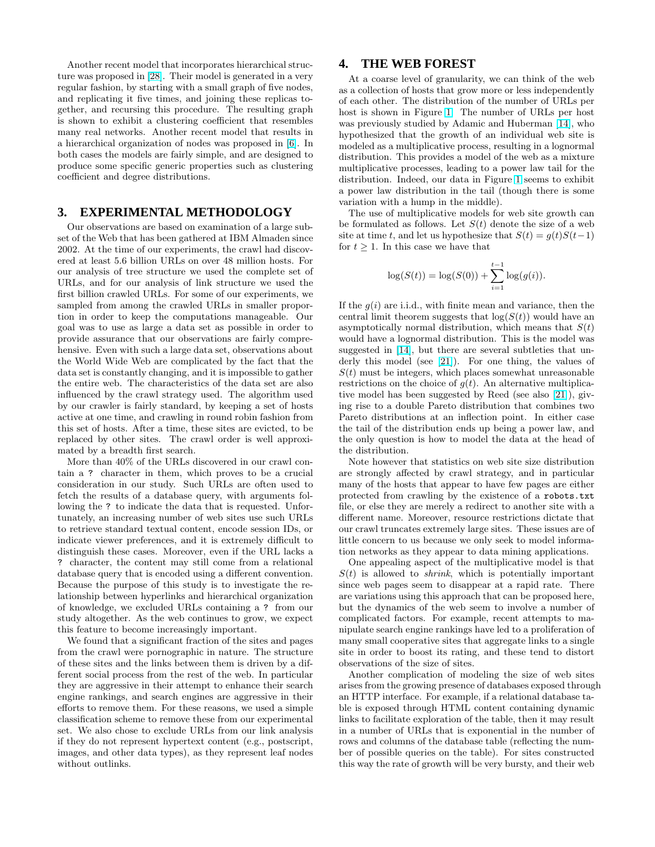<span id="page-2-0"></span>Another recent model that incorporates hierarchical structure was proposed in [\[28\]](#page-9-0). Their model is generated in a very regular fashion, by starting with a small graph of five nodes, and replicating it five times, and joining these replicas together, and recursing this procedure. The resulting graph is shown to exhibit a clustering coefficient that resembles many real networks. Another recent model that results in a hierarchical organization of nodes was proposed in [\[6\]](#page-9-0). In both cases the models are fairly simple, and are designed to produce some specific generic properties such as clustering coefficient and degree distributions.

## **3. EXPERIMENTAL METHODOLOGY**

Our observations are based on examination of a large subset of the Web that has been gathered at IBM Almaden since 2002. At the time of our experiments, the crawl had discovered at least 5.6 billion URLs on over 48 million hosts. For our analysis of tree structure we used the complete set of URLs, and for our analysis of link structure we used the first billion crawled URLs. For some of our experiments, we sampled from among the crawled URLs in smaller proportion in order to keep the computations manageable. Our goal was to use as large a data set as possible in order to provide assurance that our observations are fairly comprehensive. Even with such a large data set, observations about the World Wide Web are complicated by the fact that the data set is constantly changing, and it is impossible to gather the entire web. The characteristics of the data set are also influenced by the crawl strategy used. The algorithm used by our crawler is fairly standard, by keeping a set of hosts active at one time, and crawling in round robin fashion from this set of hosts. After a time, these sites are evicted, to be replaced by other sites. The crawl order is well approximated by a breadth first search.

More than 40% of the URLs discovered in our crawl contain a ? character in them, which proves to be a crucial consideration in our study. Such URLs are often used to fetch the results of a database query, with arguments following the ? to indicate the data that is requested. Unfortunately, an increasing number of web sites use such URLs to retrieve standard textual content, encode session IDs, or indicate viewer preferences, and it is extremely difficult to distinguish these cases. Moreover, even if the URL lacks a ? character, the content may still come from a relational database query that is encoded using a different convention. Because the purpose of this study is to investigate the relationship between hyperlinks and hierarchical organization of knowledge, we excluded URLs containing a ? from our study altogether. As the web continues to grow, we expect this feature to become increasingly important.

We found that a significant fraction of the sites and pages from the crawl were pornographic in nature. The structure of these sites and the links between them is driven by a different social process from the rest of the web. In particular they are aggressive in their attempt to enhance their search engine rankings, and search engines are aggressive in their efforts to remove them. For these reasons, we used a simple classification scheme to remove these from our experimental set. We also chose to exclude URLs from our link analysis if they do not represent hypertext content (e.g., postscript, images, and other data types), as they represent leaf nodes without outlinks.

## **4. THE WEB FOREST**

At a coarse level of granularity, we can think of the web as a collection of hosts that grow more or less independently of each other. The distribution of the number of URLs per host is shown in Figure [1.](#page-3-0) The number of URLs per host was previously studied by Adamic and Huberman [\[14\]](#page-9-0), who hypothesized that the growth of an individual web site is modeled as a multiplicative process, resulting in a lognormal distribution. This provides a model of the web as a mixture multiplicative processes, leading to a power law tail for the distribution. Indeed, our data in Figure [1](#page-3-0) seems to exhibit a power law distribution in the tail (though there is some variation with a hump in the middle).

The use of multiplicative models for web site growth can be formulated as follows. Let  $S(t)$  denote the size of a web site at time t, and let us hypothesize that  $S(t) = g(t)S(t-1)$ for  $t \geq 1$ . In this case we have that

$$
\log(S(t)) = \log(S(0)) + \sum_{i=1}^{t-1} \log(g(i)).
$$

If the  $g(i)$  are i.i.d., with finite mean and variance, then the central limit theorem suggests that  $log(S(t))$  would have an asymptotically normal distribution, which means that  $S(t)$ would have a lognormal distribution. This is the model was suggested in [\[14\]](#page-9-0), but there are several subtleties that underly this model (see [\[21\]](#page-9-0)). For one thing, the values of  $S(t)$  must be integers, which places somewhat unreasonable restrictions on the choice of  $g(t)$ . An alternative multiplicative model has been suggested by Reed (see also [\[21\]](#page-9-0)), giving rise to a double Pareto distribution that combines two Pareto distributions at an inflection point. In either case the tail of the distribution ends up being a power law, and the only question is how to model the data at the head of the distribution.

Note however that statistics on web site size distribution are strongly affected by crawl strategy, and in particular many of the hosts that appear to have few pages are either protected from crawling by the existence of a robots.txt file, or else they are merely a redirect to another site with a different name. Moreover, resource restrictions dictate that our crawl truncates extremely large sites. These issues are of little concern to us because we only seek to model information networks as they appear to data mining applications.

One appealing aspect of the multiplicative model is that  $S(t)$  is allowed to *shrink*, which is potentially important since web pages seem to disappear at a rapid rate. There are variations using this approach that can be proposed here, but the dynamics of the web seem to involve a number of complicated factors. For example, recent attempts to manipulate search engine rankings have led to a proliferation of many small cooperative sites that aggregate links to a single site in order to boost its rating, and these tend to distort observations of the size of sites.

Another complication of modeling the size of web sites arises from the growing presence of databases exposed through an HTTP interface. For example, if a relational database table is exposed through HTML content containing dynamic links to facilitate exploration of the table, then it may result in a number of URLs that is exponential in the number of rows and columns of the database table (reflecting the number of possible queries on the table). For sites constructed this way the rate of growth will be very bursty, and their web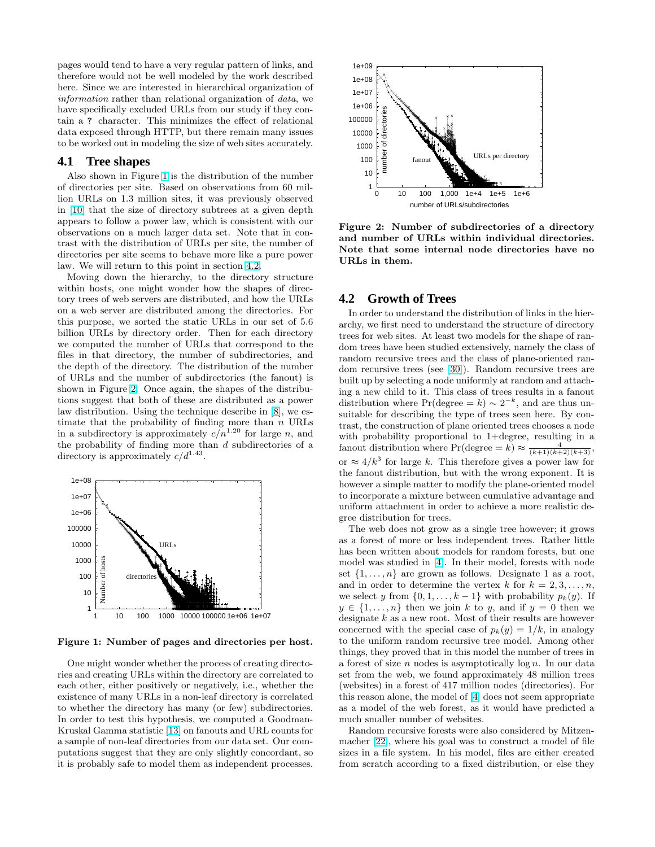<span id="page-3-0"></span>pages would tend to have a very regular pattern of links, and therefore would not be well modeled by the work described here. Since we are interested in hierarchical organization of information rather than relational organization of data, we have specifically excluded URLs from our study if they contain a ? character. This minimizes the effect of relational data exposed through HTTP, but there remain many issues to be worked out in modeling the size of web sites accurately.

#### **4.1 Tree shapes**

Also shown in Figure 1 is the distribution of the number of directories per site. Based on observations from 60 million URLs on 1.3 million sites, it was previously observed in [\[10\]](#page-9-0) that the size of directory subtrees at a given depth appears to follow a power law, which is consistent with our observations on a much larger data set. Note that in contrast with the distribution of URLs per site, the number of directories per site seems to behave more like a pure power law. We will return to this point in section 4.2.

Moving down the hierarchy, to the directory structure within hosts, one might wonder how the shapes of directory trees of web servers are distributed, and how the URLs on a web server are distributed among the directories. For this purpose, we sorted the static URLs in our set of 5.6 billion URLs by directory order. Then for each directory we computed the number of URLs that correspond to the files in that directory, the number of subdirectories, and the depth of the directory. The distribution of the number of URLs and the number of subdirectories (the fanout) is shown in Figure 2. Once again, the shapes of the distributions suggest that both of these are distributed as a power law distribution. Using the technique describe in [\[8\]](#page-9-0), we estimate that the probability of finding more than  $n$  URLs in a subdirectory is approximately  $c/n^{1.20}$  for large n, and the probability of finding more than  $d$  subdirectories of a directory is approximately  $c/d^{1.43}$ .



Figure 1: Number of pages and directories per host.

One might wonder whether the process of creating directories and creating URLs within the directory are correlated to each other, either positively or negatively, i.e., whether the existence of many URLs in a non-leaf directory is correlated to whether the directory has many (or few) subdirectories. In order to test this hypothesis, we computed a Goodman-Kruskal Gamma statistic [\[13\]](#page-9-0) on fanouts and URL counts for a sample of non-leaf directories from our data set. Our computations suggest that they are only slightly concordant, so it is probably safe to model them as independent processes.



Figure 2: Number of subdirectories of a directory and number of URLs within individual directories. Note that some internal node directories have no URLs in them.

## **4.2 Growth of Trees**

In order to understand the distribution of links in the hierarchy, we first need to understand the structure of directory trees for web sites. At least two models for the shape of random trees have been studied extensively, namely the class of random recursive trees and the class of plane-oriented random recursive trees (see [\[30\]](#page-9-0)). Random recursive trees are built up by selecting a node uniformly at random and attaching a new child to it. This class of trees results in a fanout distribution where  $Pr(\text{degree} = k) \sim 2^{-k}$ , and are thus unsuitable for describing the type of trees seen here. By contrast, the construction of plane oriented trees chooses a node with probability proportional to 1+degree, resulting in a fanout distribution where  $Pr(\text{degree} = k) \approx \frac{4}{(k+1)(k+2)(k+3)}$ , or  $\approx 4/k^3$  for large k. This therefore gives a power law for the fanout distribution, but with the wrong exponent. It is however a simple matter to modify the plane-oriented model to incorporate a mixture between cumulative advantage and uniform attachment in order to achieve a more realistic degree distribution for trees.

The web does not grow as a single tree however; it grows as a forest of more or less independent trees. Rather little has been written about models for random forests, but one model was studied in [\[4\]](#page-9-0). In their model, forests with node set  $\{1, \ldots, n\}$  are grown as follows. Designate 1 as a root, and in order to determine the vertex k for  $k = 2, 3, ..., n$ , we select y from  $\{0, 1, \ldots, k-1\}$  with probability  $p_k(y)$ . If  $y \in \{1, \ldots, n\}$  then we join k to y, and if  $y = 0$  then we designate k as a new root. Most of their results are however concerned with the special case of  $p_k(y) = 1/k$ , in analogy to the uniform random recursive tree model. Among other things, they proved that in this model the number of trees in a forest of size  $n$  nodes is asymptotically  $\log n$ . In our data set from the web, we found approximately 48 million trees (websites) in a forest of 417 million nodes (directories). For this reason alone, the model of [\[4\]](#page-9-0) does not seem appropriate as a model of the web forest, as it would have predicted a much smaller number of websites.

Random recursive forests were also considered by Mitzenmacher [\[22\]](#page-9-0), where his goal was to construct a model of file sizes in a file system. In his model, files are either created from scratch according to a fixed distribution, or else they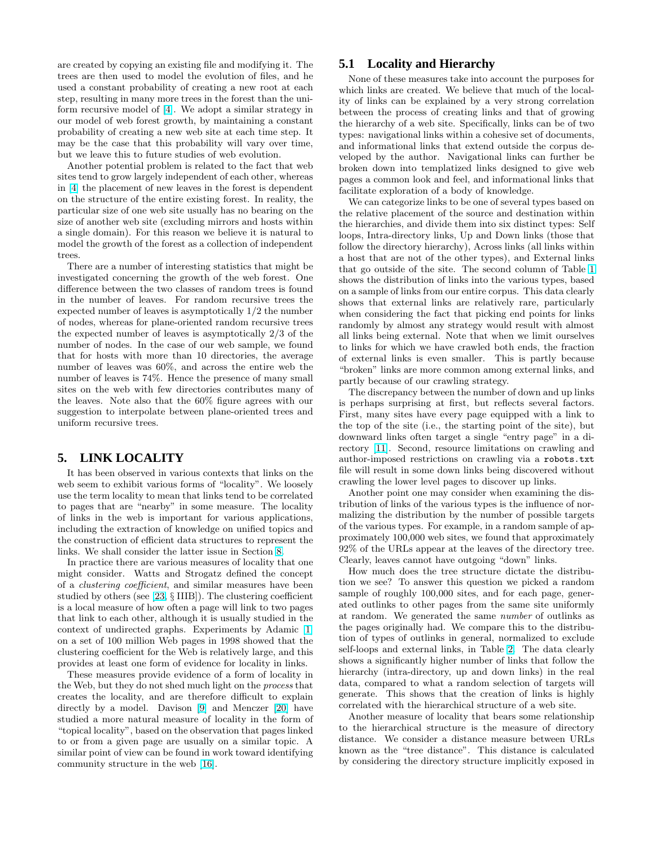<span id="page-4-0"></span>are created by copying an existing file and modifying it. The trees are then used to model the evolution of files, and he used a constant probability of creating a new root at each step, resulting in many more trees in the forest than the uniform recursive model of [\[4\]](#page-9-0). We adopt a similar strategy in our model of web forest growth, by maintaining a constant probability of creating a new web site at each time step. It may be the case that this probability will vary over time, but we leave this to future studies of web evolution.

Another potential problem is related to the fact that web sites tend to grow largely independent of each other, whereas in [\[4\]](#page-9-0) the placement of new leaves in the forest is dependent on the structure of the entire existing forest. In reality, the particular size of one web site usually has no bearing on the size of another web site (excluding mirrors and hosts within a single domain). For this reason we believe it is natural to model the growth of the forest as a collection of independent trees.

There are a number of interesting statistics that might be investigated concerning the growth of the web forest. One difference between the two classes of random trees is found in the number of leaves. For random recursive trees the expected number of leaves is asymptotically 1/2 the number of nodes, whereas for plane-oriented random recursive trees the expected number of leaves is asymptotically 2/3 of the number of nodes. In the case of our web sample, we found that for hosts with more than 10 directories, the average number of leaves was 60%, and across the entire web the number of leaves is 74%. Hence the presence of many small sites on the web with few directories contributes many of the leaves. Note also that the 60% figure agrees with our suggestion to interpolate between plane-oriented trees and uniform recursive trees.

# **5. LINK LOCALITY**

It has been observed in various contexts that links on the web seem to exhibit various forms of "locality". We loosely use the term locality to mean that links tend to be correlated to pages that are "nearby" in some measure. The locality of links in the web is important for various applications, including the extraction of knowledge on unified topics and the construction of efficient data structures to represent the links. We shall consider the latter issue in Section [8.](#page-6-0)

In practice there are various measures of locality that one might consider. Watts and Strogatz defined the concept of a clustering coefficient, and similar measures have been studied by others (see [\[23,](#page-9-0) § IIIB]). The clustering coefficient is a local measure of how often a page will link to two pages that link to each other, although it is usually studied in the context of undirected graphs. Experiments by Adamic [\[1\]](#page-9-0) on a set of 100 million Web pages in 1998 showed that the clustering coefficient for the Web is relatively large, and this provides at least one form of evidence for locality in links.

These measures provide evidence of a form of locality in the Web, but they do not shed much light on the process that creates the locality, and are therefore difficult to explain directly by a model. Davison [\[9\]](#page-9-0) and Menczer [\[20\]](#page-9-0) have studied a more natural measure of locality in the form of "topical locality", based on the observation that pages linked to or from a given page are usually on a similar topic. A similar point of view can be found in work toward identifying community structure in the web [\[16\]](#page-9-0).

## **5.1 Locality and Hierarchy**

None of these measures take into account the purposes for which links are created. We believe that much of the locality of links can be explained by a very strong correlation between the process of creating links and that of growing the hierarchy of a web site. Specifically, links can be of two types: navigational links within a cohesive set of documents, and informational links that extend outside the corpus developed by the author. Navigational links can further be broken down into templatized links designed to give web pages a common look and feel, and informational links that facilitate exploration of a body of knowledge.

We can categorize links to be one of several types based on the relative placement of the source and destination within the hierarchies, and divide them into six distinct types: Self loops, Intra-directory links, Up and Down links (those that follow the directory hierarchy), Across links (all links within a host that are not of the other types), and External links that go outside of the site. The second column of Table [1](#page-5-0) shows the distribution of links into the various types, based on a sample of links from our entire corpus. This data clearly shows that external links are relatively rare, particularly when considering the fact that picking end points for links randomly by almost any strategy would result with almost all links being external. Note that when we limit ourselves to links for which we have crawled both ends, the fraction of external links is even smaller. This is partly because "broken" links are more common among external links, and partly because of our crawling strategy.

The discrepancy between the number of down and up links is perhaps surprising at first, but reflects several factors. First, many sites have every page equipped with a link to the top of the site (i.e., the starting point of the site), but downward links often target a single "entry page" in a directory [\[11\]](#page-9-0). Second, resource limitations on crawling and author-imposed restrictions on crawling via a robots.txt file will result in some down links being discovered without crawling the lower level pages to discover up links.

Another point one may consider when examining the distribution of links of the various types is the influence of normalizing the distribution by the number of possible targets of the various types. For example, in a random sample of approximately 100,000 web sites, we found that approximately 92% of the URLs appear at the leaves of the directory tree. Clearly, leaves cannot have outgoing "down" links.

How much does the tree structure dictate the distribution we see? To answer this question we picked a random sample of roughly 100,000 sites, and for each page, generated outlinks to other pages from the same site uniformly at random. We generated the same number of outlinks as the pages originally had. We compare this to the distribution of types of outlinks in general, normalized to exclude self-loops and external links, in Table [2.](#page-5-0) The data clearly shows a significantly higher number of links that follow the hierarchy (intra-directory, up and down links) in the real data, compared to what a random selection of targets will generate. This shows that the creation of links is highly correlated with the hierarchical structure of a web site.

Another measure of locality that bears some relationship to the hierarchical structure is the measure of directory distance. We consider a distance measure between URLs known as the "tree distance". This distance is calculated by considering the directory structure implicitly exposed in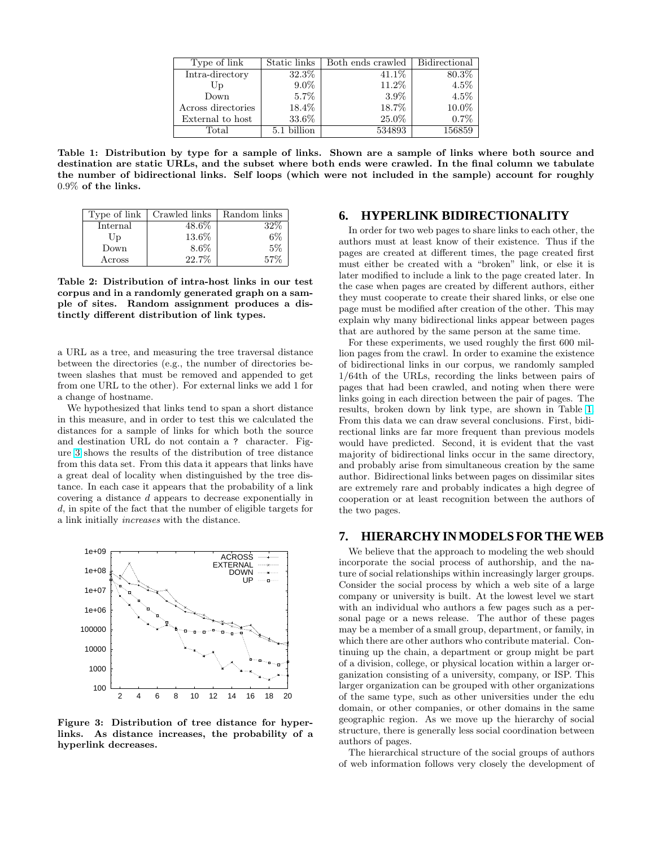| Type of link       | Static links | Both ends crawled | Bidirectional |
|--------------------|--------------|-------------------|---------------|
| Intra-directory    | 32.3%        | 41.1\%            | 80.3%         |
| Up                 | $9.0\%$      | 11.2%             | $4.5\%$       |
| Down               | 5.7%         | 3.9%              | 4.5%          |
| Across directories | 18.4%        | 18.7%             | 10.0%         |
| External to host   | 33.6%        | 25.0%             | $0.7\%$       |
| Total              | 5.1 billion  | 534893            | 156859        |

<span id="page-5-0"></span>Table 1: Distribution by type for a sample of links. Shown are a sample of links where both source and destination are static URLs, and the subset where both ends were crawled. In the final column we tabulate the number of bidirectional links. Self loops (which were not included in the sample) account for roughly 0.9% of the links.

| Type of link | Crawled links | Random links |
|--------------|---------------|--------------|
| Internal     | 48.6%         | 32%          |
| Up           | 13.6%         | 6%           |
| Down         | 8.6%          | 5%           |
| Across       | 22.7%         | 57%          |

Table 2: Distribution of intra-host links in our test corpus and in a randomly generated graph on a sample of sites. Random assignment produces a distinctly different distribution of link types.

a URL as a tree, and measuring the tree traversal distance between the directories (e.g., the number of directories between slashes that must be removed and appended to get from one URL to the other). For external links we add 1 for a change of hostname.

We hypothesized that links tend to span a short distance in this measure, and in order to test this we calculated the distances for a sample of links for which both the source and destination URL do not contain a ? character. Figure 3 shows the results of the distribution of tree distance from this data set. From this data it appears that links have a great deal of locality when distinguished by the tree distance. In each case it appears that the probability of a link covering a distance d appears to decrease exponentially in d, in spite of the fact that the number of eligible targets for a link initially increases with the distance.



Figure 3: Distribution of tree distance for hyperlinks. As distance increases, the probability of a hyperlink decreases.

## **6. HYPERLINK BIDIRECTIONALITY**

In order for two web pages to share links to each other, the authors must at least know of their existence. Thus if the pages are created at different times, the page created first must either be created with a "broken" link, or else it is later modified to include a link to the page created later. In the case when pages are created by different authors, either they must cooperate to create their shared links, or else one page must be modified after creation of the other. This may explain why many bidirectional links appear between pages that are authored by the same person at the same time.

For these experiments, we used roughly the first 600 million pages from the crawl. In order to examine the existence of bidirectional links in our corpus, we randomly sampled 1/64th of the URLs, recording the links between pairs of pages that had been crawled, and noting when there were links going in each direction between the pair of pages. The results, broken down by link type, are shown in Table 1. From this data we can draw several conclusions. First, bidirectional links are far more frequent than previous models would have predicted. Second, it is evident that the vast majority of bidirectional links occur in the same directory, and probably arise from simultaneous creation by the same author. Bidirectional links between pages on dissimilar sites are extremely rare and probably indicates a high degree of cooperation or at least recognition between the authors of the two pages.

### **7. HIERARCHY IN MODELS FOR THE WEB**

We believe that the approach to modeling the web should incorporate the social process of authorship, and the nature of social relationships within increasingly larger groups. Consider the social process by which a web site of a large company or university is built. At the lowest level we start with an individual who authors a few pages such as a personal page or a news release. The author of these pages may be a member of a small group, department, or family, in which there are other authors who contribute material. Continuing up the chain, a department or group might be part of a division, college, or physical location within a larger organization consisting of a university, company, or ISP. This larger organization can be grouped with other organizations of the same type, such as other universities under the edu domain, or other companies, or other domains in the same geographic region. As we move up the hierarchy of social structure, there is generally less social coordination between authors of pages.

The hierarchical structure of the social groups of authors of web information follows very closely the development of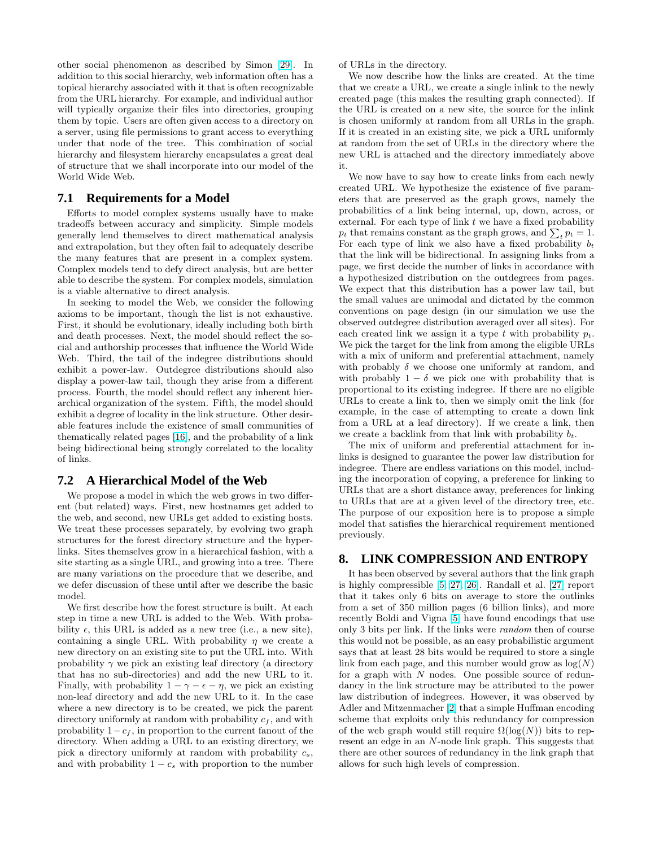<span id="page-6-0"></span>other social phenomenon as described by Simon [\[29\]](#page-9-0). In addition to this social hierarchy, web information often has a topical hierarchy associated with it that is often recognizable from the URL hierarchy. For example, and individual author will typically organize their files into directories, grouping them by topic. Users are often given access to a directory on a server, using file permissions to grant access to everything under that node of the tree. This combination of social hierarchy and filesystem hierarchy encapsulates a great deal of structure that we shall incorporate into our model of the World Wide Web.

### **7.1 Requirements for a Model**

Efforts to model complex systems usually have to make tradeoffs between accuracy and simplicity. Simple models generally lend themselves to direct mathematical analysis and extrapolation, but they often fail to adequately describe the many features that are present in a complex system. Complex models tend to defy direct analysis, but are better able to describe the system. For complex models, simulation is a viable alternative to direct analysis.

In seeking to model the Web, we consider the following axioms to be important, though the list is not exhaustive. First, it should be evolutionary, ideally including both birth and death processes. Next, the model should reflect the social and authorship processes that influence the World Wide Web. Third, the tail of the indegree distributions should exhibit a power-law. Outdegree distributions should also display a power-law tail, though they arise from a different process. Fourth, the model should reflect any inherent hierarchical organization of the system. Fifth, the model should exhibit a degree of locality in the link structure. Other desirable features include the existence of small communities of thematically related pages [\[16\]](#page-9-0), and the probability of a link being bidirectional being strongly correlated to the locality of links.

### **7.2 A Hierarchical Model of the Web**

We propose a model in which the web grows in two different (but related) ways. First, new hostnames get added to the web, and second, new URLs get added to existing hosts. We treat these processes separately, by evolving two graph structures for the forest directory structure and the hyperlinks. Sites themselves grow in a hierarchical fashion, with a site starting as a single URL, and growing into a tree. There are many variations on the procedure that we describe, and we defer discussion of these until after we describe the basic model.

We first describe how the forest structure is built. At each step in time a new URL is added to the Web. With probability  $\epsilon$ , this URL is added as a new tree (i.e., a new site), containing a single URL. With probability  $\eta$  we create a new directory on an existing site to put the URL into. With probability  $\gamma$  we pick an existing leaf directory (a directory that has no sub-directories) and add the new URL to it. Finally, with probability  $1 - \gamma - \epsilon - \eta$ , we pick an existing non-leaf directory and add the new URL to it. In the case where a new directory is to be created, we pick the parent directory uniformly at random with probability  $c_f$ , and with probability  $1-c_f$ , in proportion to the current fanout of the directory. When adding a URL to an existing directory, we pick a directory uniformly at random with probability  $c_s$ , and with probability  $1 - c_s$  with proportion to the number of URLs in the directory.

We now describe how the links are created. At the time that we create a URL, we create a single inlink to the newly created page (this makes the resulting graph connected). If the URL is created on a new site, the source for the inlink is chosen uniformly at random from all URLs in the graph. If it is created in an existing site, we pick a URL uniformly at random from the set of URLs in the directory where the new URL is attached and the directory immediately above it.

We now have to say how to create links from each newly created URL. We hypothesize the existence of five parameters that are preserved as the graph grows, namely the probabilities of a link being internal, up, down, across, or external. For each type of link  $t$  we have a fixed probability  $p_t$  that remains constant as the graph grows, and  $\sum_t p_t = 1$ . For each type of link we also have a fixed probability  $b_t$ that the link will be bidirectional. In assigning links from a page, we first decide the number of links in accordance with a hypothesized distribution on the outdegrees from pages. We expect that this distribution has a power law tail, but the small values are unimodal and dictated by the common conventions on page design (in our simulation we use the observed outdegree distribution averaged over all sites). For each created link we assign it a type t with probability  $p_t$ . We pick the target for the link from among the eligible URLs with a mix of uniform and preferential attachment, namely with probably  $\delta$  we choose one uniformly at random, and with probably  $1 - \delta$  we pick one with probability that is proportional to its existing indegree. If there are no eligible URLs to create a link to, then we simply omit the link (for example, in the case of attempting to create a down link from a URL at a leaf directory). If we create a link, then we create a backlink from that link with probability  $b_t$ .

The mix of uniform and preferential attachment for inlinks is designed to guarantee the power law distribution for indegree. There are endless variations on this model, including the incorporation of copying, a preference for linking to URLs that are a short distance away, preferences for linking to URLs that are at a given level of the directory tree, etc. The purpose of our exposition here is to propose a simple model that satisfies the hierarchical requirement mentioned previously.

## **8. LINK COMPRESSION AND ENTROPY**

It has been observed by several authors that the link graph is highly compressible [\[5,](#page-9-0) [27,](#page-9-0) [26\]](#page-9-0). Randall et al. [\[27\]](#page-9-0) report that it takes only 6 bits on average to store the outlinks from a set of 350 million pages (6 billion links), and more recently Boldi and Vigna [\[5\]](#page-9-0) have found encodings that use only 3 bits per link. If the links were random then of course this would not be possible, as an easy probabilistic argument says that at least 28 bits would be required to store a single link from each page, and this number would grow as  $log(N)$ for a graph with  $N$  nodes. One possible source of redundancy in the link structure may be attributed to the power law distribution of indegrees. However, it was observed by Adler and Mitzenmacher [\[2\]](#page-9-0) that a simple Huffman encoding scheme that exploits only this redundancy for compression of the web graph would still require  $\Omega(\log(N))$  bits to represent an edge in an N-node link graph. This suggests that there are other sources of redundancy in the link graph that allows for such high levels of compression.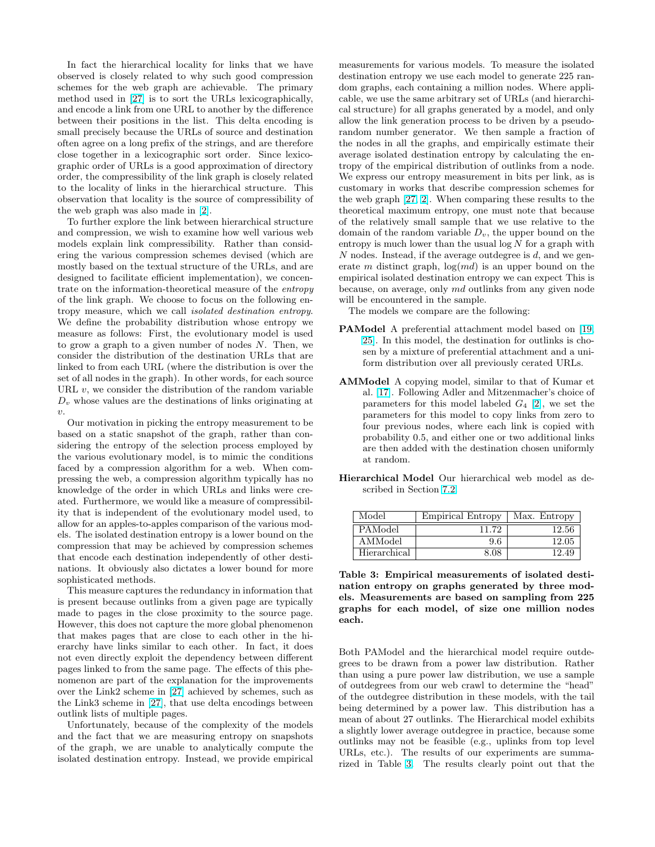In fact the hierarchical locality for links that we have observed is closely related to why such good compression schemes for the web graph are achievable. The primary method used in [\[27\]](#page-9-0) is to sort the URLs lexicographically, and encode a link from one URL to another by the difference between their positions in the list. This delta encoding is small precisely because the URLs of source and destination often agree on a long prefix of the strings, and are therefore close together in a lexicographic sort order. Since lexicographic order of URLs is a good approximation of directory order, the compressibility of the link graph is closely related to the locality of links in the hierarchical structure. This observation that locality is the source of compressibility of the web graph was also made in [\[2\]](#page-9-0).

To further explore the link between hierarchical structure and compression, we wish to examine how well various web models explain link compressibility. Rather than considering the various compression schemes devised (which are mostly based on the textual structure of the URLs, and are designed to facilitate efficient implementation), we concentrate on the information-theoretical measure of the entropy of the link graph. We choose to focus on the following entropy measure, which we call isolated destination entropy. We define the probability distribution whose entropy we measure as follows: First, the evolutionary model is used to grow a graph to a given number of nodes  $N$ . Then, we consider the distribution of the destination URLs that are linked to from each URL (where the distribution is over the set of all nodes in the graph). In other words, for each source URL  $v$ , we consider the distribution of the random variable  $D<sub>v</sub>$  whose values are the destinations of links originating at  $\upsilon$ .

Our motivation in picking the entropy measurement to be based on a static snapshot of the graph, rather than considering the entropy of the selection process employed by the various evolutionary model, is to mimic the conditions faced by a compression algorithm for a web. When compressing the web, a compression algorithm typically has no knowledge of the order in which URLs and links were created. Furthermore, we would like a measure of compressibility that is independent of the evolutionary model used, to allow for an apples-to-apples comparison of the various models. The isolated destination entropy is a lower bound on the compression that may be achieved by compression schemes that encode each destination independently of other destinations. It obviously also dictates a lower bound for more sophisticated methods.

This measure captures the redundancy in information that is present because outlinks from a given page are typically made to pages in the close proximity to the source page. However, this does not capture the more global phenomenon that makes pages that are close to each other in the hierarchy have links similar to each other. In fact, it does not even directly exploit the dependency between different pages linked to from the same page. The effects of this phenomenon are part of the explanation for the improvements over the Link2 scheme in [\[27\]](#page-9-0) achieved by schemes, such as the Link3 scheme in [\[27\]](#page-9-0), that use delta encodings between outlink lists of multiple pages.

Unfortunately, because of the complexity of the models and the fact that we are measuring entropy on snapshots of the graph, we are unable to analytically compute the isolated destination entropy. Instead, we provide empirical measurements for various models. To measure the isolated destination entropy we use each model to generate 225 random graphs, each containing a million nodes. Where applicable, we use the same arbitrary set of URLs (and hierarchical structure) for all graphs generated by a model, and only allow the link generation process to be driven by a pseudorandom number generator. We then sample a fraction of the nodes in all the graphs, and empirically estimate their average isolated destination entropy by calculating the entropy of the empirical distribution of outlinks from a node. We express our entropy measurement in bits per link, as is customary in works that describe compression schemes for the web graph [\[27,](#page-9-0) [2\]](#page-9-0). When comparing these results to the theoretical maximum entropy, one must note that because of the relatively small sample that we use relative to the domain of the random variable  $D_v$ , the upper bound on the entropy is much lower than the usual  $\log N$  for a graph with  $N$  nodes. Instead, if the average outdegree is  $d$ , and we generate m distinct graph,  $log(md)$  is an upper bound on the empirical isolated destination entropy we can expect This is because, on average, only md outlinks from any given node will be encountered in the sample.

The models we compare are the following:

- PAModel A preferential attachment model based on [\[19,](#page-9-0) [25\]](#page-9-0). In this model, the destination for outlinks is chosen by a mixture of preferential attachment and a uniform distribution over all previously cerated URLs.
- AMModel A copying model, similar to that of Kumar et al. [\[17\]](#page-9-0). Following Adler and Mitzenmacher's choice of parameters for this model labeled  $G_4$  [\[2\]](#page-9-0), we set the parameters for this model to copy links from zero to four previous nodes, where each link is copied with probability 0.5, and either one or two additional links are then added with the destination chosen uniformly at random.
- Hierarchical Model Our hierarchical web model as described in Section [7.2.](#page-6-0)

| Model        | <b>Empirical Entropy</b> | Max. Entropy |
|--------------|--------------------------|--------------|
| PAModel      | 11.72                    | 12.56        |
| AMModel      | 9.6                      | 12.05        |
| Hierarchical | 8.08                     | 12.49        |

Table 3: Empirical measurements of isolated destination entropy on graphs generated by three models. Measurements are based on sampling from 225 graphs for each model, of size one million nodes each.

Both PAModel and the hierarchical model require outdegrees to be drawn from a power law distribution. Rather than using a pure power law distribution, we use a sample of outdegrees from our web crawl to determine the "head" of the outdegree distribution in these models, with the tail being determined by a power law. This distribution has a mean of about 27 outlinks. The Hierarchical model exhibits a slightly lower average outdegree in practice, because some outlinks may not be feasible (e.g., uplinks from top level URLs, etc.). The results of our experiments are summarized in Table 3. The results clearly point out that the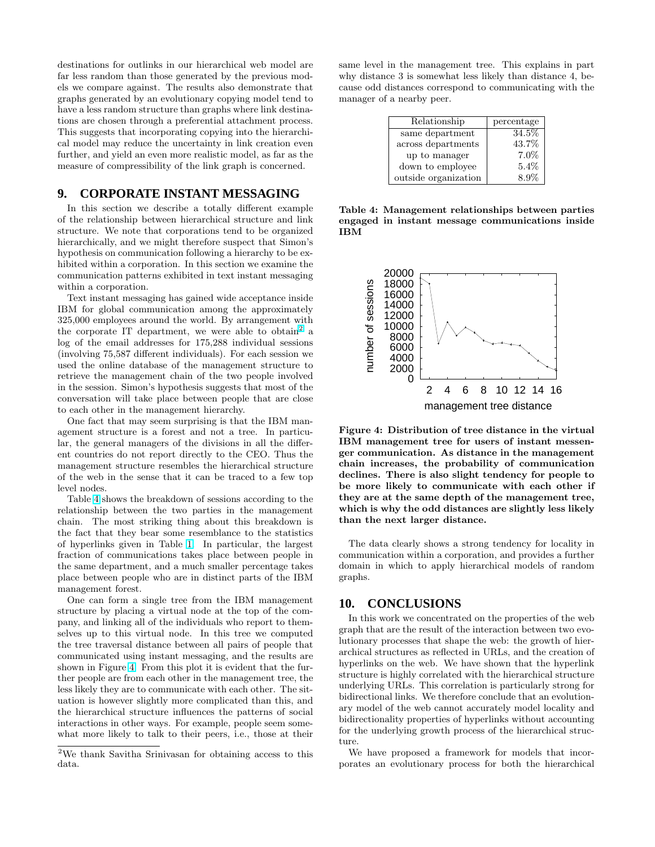<span id="page-8-0"></span>destinations for outlinks in our hierarchical web model are far less random than those generated by the previous models we compare against. The results also demonstrate that graphs generated by an evolutionary copying model tend to have a less random structure than graphs where link destinations are chosen through a preferential attachment process. This suggests that incorporating copying into the hierarchical model may reduce the uncertainty in link creation even further, and yield an even more realistic model, as far as the measure of compressibility of the link graph is concerned.

## **9. CORPORATE INSTANT MESSAGING**

In this section we describe a totally different example of the relationship between hierarchical structure and link structure. We note that corporations tend to be organized hierarchically, and we might therefore suspect that Simon's hypothesis on communication following a hierarchy to be exhibited within a corporation. In this section we examine the communication patterns exhibited in text instant messaging within a corporation.

Text instant messaging has gained wide acceptance inside IBM for global communication among the approximately 325,000 employees around the world. By arrangement with the corporate IT department, we were able to obtain<sup>2</sup> a log of the email addresses for 175,288 individual sessions (involving 75,587 different individuals). For each session we used the online database of the management structure to retrieve the management chain of the two people involved in the session. Simon's hypothesis suggests that most of the conversation will take place between people that are close to each other in the management hierarchy.

One fact that may seem surprising is that the IBM management structure is a forest and not a tree. In particular, the general managers of the divisions in all the different countries do not report directly to the CEO. Thus the management structure resembles the hierarchical structure of the web in the sense that it can be traced to a few top level nodes.

Table 4 shows the breakdown of sessions according to the relationship between the two parties in the management chain. The most striking thing about this breakdown is the fact that they bear some resemblance to the statistics of hyperlinks given in Table [1.](#page-5-0) In particular, the largest fraction of communications takes place between people in the same department, and a much smaller percentage takes place between people who are in distinct parts of the IBM management forest.

One can form a single tree from the IBM management structure by placing a virtual node at the top of the company, and linking all of the individuals who report to themselves up to this virtual node. In this tree we computed the tree traversal distance between all pairs of people that communicated using instant messaging, and the results are shown in Figure 4. From this plot it is evident that the further people are from each other in the management tree, the less likely they are to communicate with each other. The situation is however slightly more complicated than this, and the hierarchical structure influences the patterns of social interactions in other ways. For example, people seem somewhat more likely to talk to their peers, i.e., those at their

same level in the management tree. This explains in part why distance 3 is somewhat less likely than distance 4, because odd distances correspond to communicating with the manager of a nearby peer.

| Relationship         | percentage |
|----------------------|------------|
| same department      | 34.5%      |
| across departments   | 43.7%      |
| up to manager        | 7.0%       |
| down to employee     | $5.4\%$    |
| outside organization | 8 9%       |

Table 4: Management relationships between parties engaged in instant message communications inside IBM



Figure 4: Distribution of tree distance in the virtual IBM management tree for users of instant messenger communication. As distance in the management chain increases, the probability of communication declines. There is also slight tendency for people to be more likely to communicate with each other if they are at the same depth of the management tree, which is why the odd distances are slightly less likely than the next larger distance.

The data clearly shows a strong tendency for locality in communication within a corporation, and provides a further domain in which to apply hierarchical models of random graphs.

#### **10. CONCLUSIONS**

In this work we concentrated on the properties of the web graph that are the result of the interaction between two evolutionary processes that shape the web: the growth of hierarchical structures as reflected in URLs, and the creation of hyperlinks on the web. We have shown that the hyperlink structure is highly correlated with the hierarchical structure underlying URLs. This correlation is particularly strong for bidirectional links. We therefore conclude that an evolutionary model of the web cannot accurately model locality and bidirectionality properties of hyperlinks without accounting for the underlying growth process of the hierarchical structure.

We have proposed a framework for models that incorporates an evolutionary process for both the hierarchical

<sup>2</sup>We thank Savitha Srinivasan for obtaining access to this data.